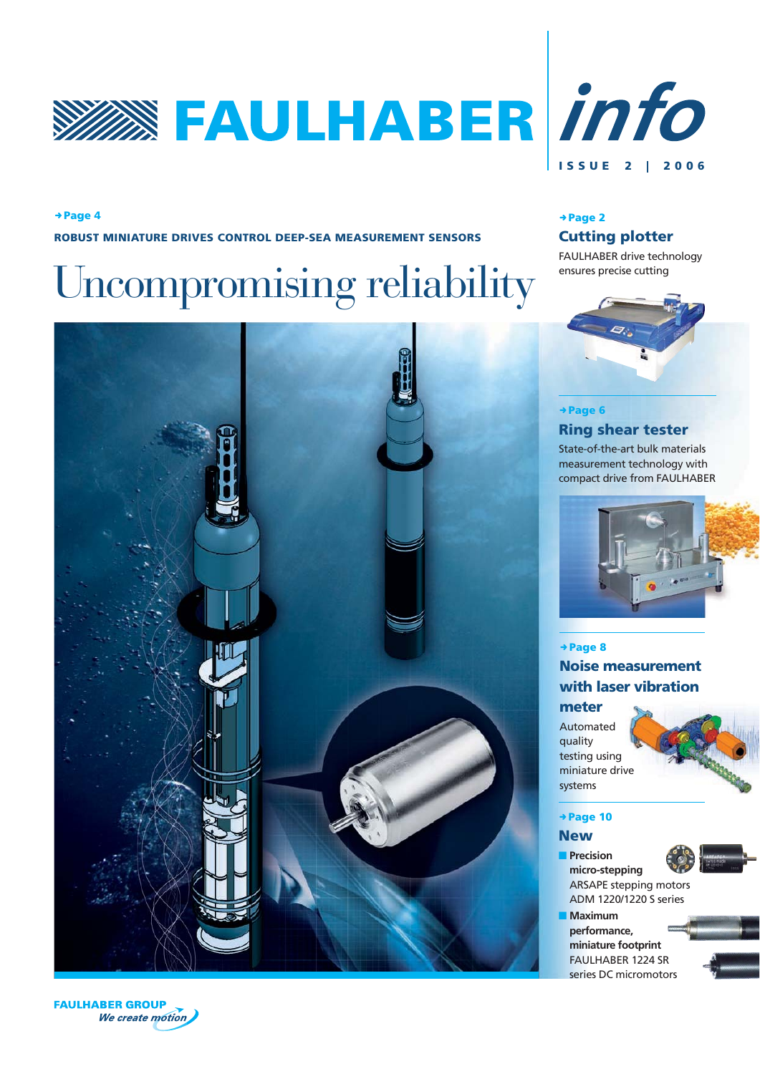

#### **Page 4**

# Uncompromising reliability



→ Page 2<br>Cutting plotter

**FAULHABER drive technology** ensures precise cutting

**ISSUE 2 | 2006** 



## **Page 6**<br>**Ring shear tester**

**Ring State-of-the-art bulk materials** measurement technology with compact drive from FAULHABER



### **Page 8**<br>Noise measurement **with laser vibration**

**meter** 

Automated quality testing using miniature drive systems



**Page 10**<br>New

**New Precision micro-stepping** ARSAPE stepping motors



ADM 1220/1220 S series



**Maximum** 

**performance, miniature footprint** FAULHABER 1224 SR series DC micromotors

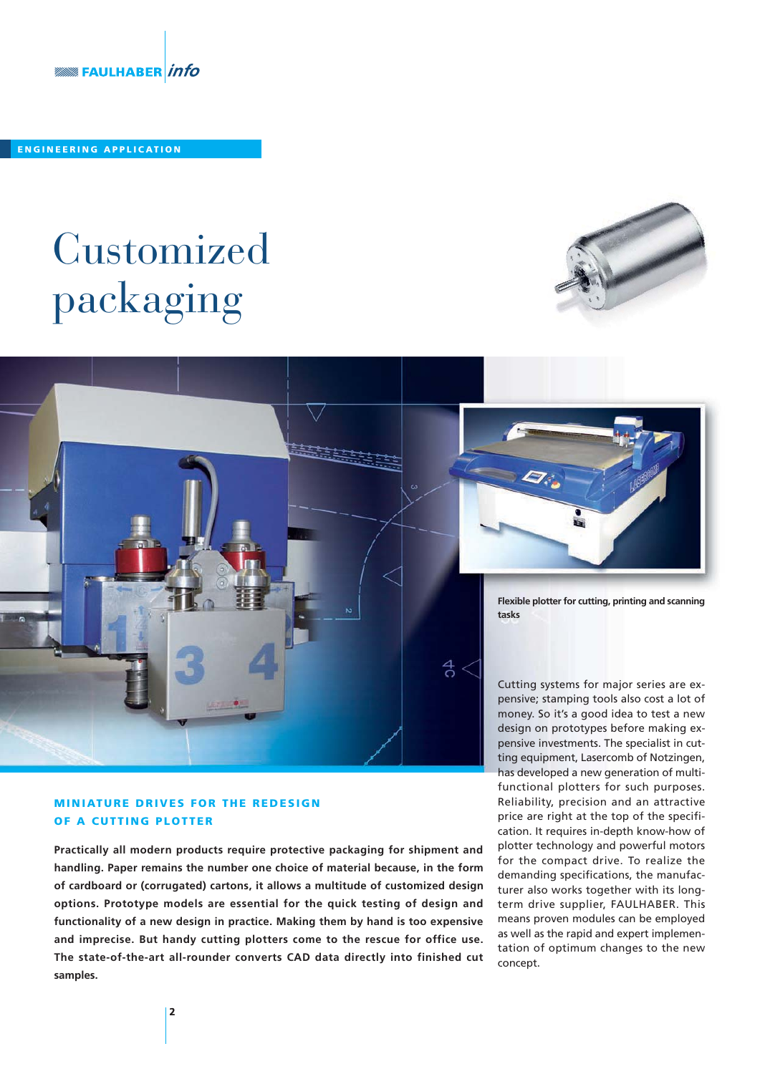**WEE** FAULHABER *info* 

**ENGINEERING APPLICATION**

# Customized packaging





## **MINIATURE DRIVES FOR THE REDESIGN**

**Practically all modern products require protective packaging for shipment and handling. Paper remains the number one choice of material because, in the form of cardboard or (corrugated) cartons, it allows a multitude of customized design options. Prototype models are essential for the quick testing of design and functionality of a new design in practice. Making them by hand is too expensive and imprecise. But handy cutting plotters come to the rescue for office use. The state-of-the-art all-rounder converts CAD data directly into finished cut samples.**

pensive; stamping tools also cost a lot of money. So it's a good idea to test a new design on prototypes before making expensive investments. The specialist in cutting equipment, Lasercomb of Notzingen, has developed a new generation of multifunctional plotters for such purposes. Reliability, precision and an attractive price are right at the top of the specification. It requires in-depth know-how of plotter technology and powerful motors for the compact drive. To realize the demanding specifications, the manufacturer also works together with its longterm drive supplier, FAULHABER. This means proven modules can be employed as well as the rapid and expert implementation of optimum changes to the new concept.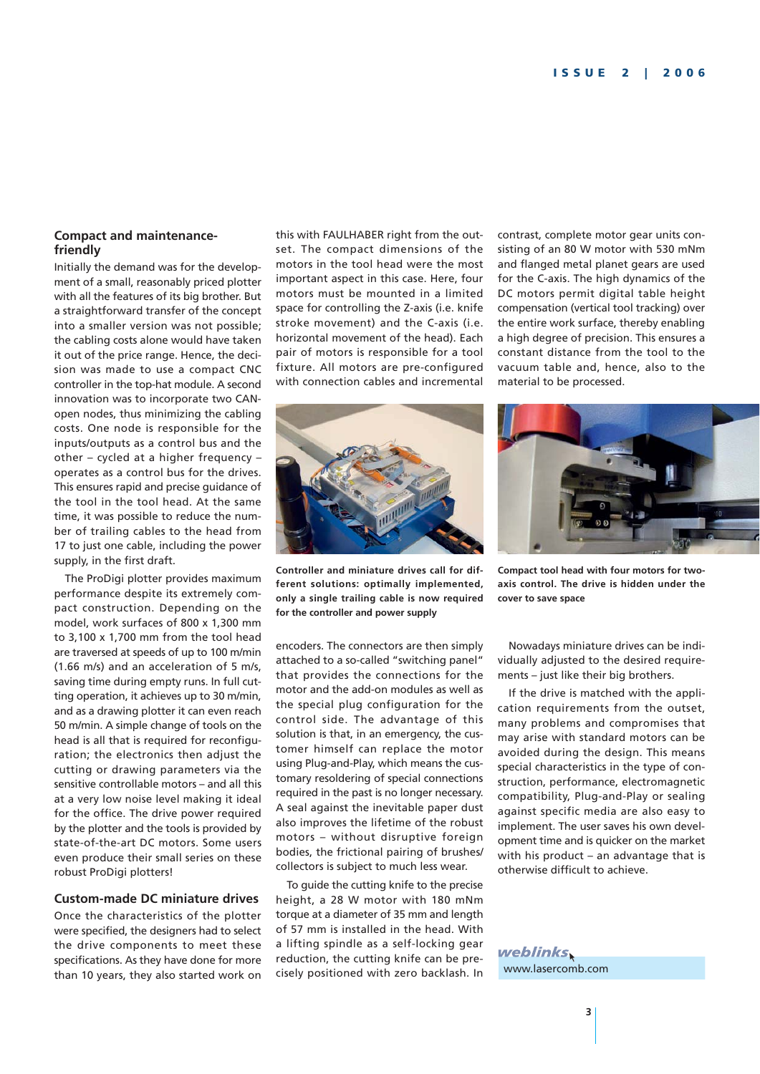#### **Compact and maintenancefriendly**

Initially the demand was for the development of a small, reasonably priced plotter with all the features of its big brother. But a straightforward transfer of the concept into a smaller version was not possible; the cabling costs alone would have taken it out of the price range. Hence, the decision was made to use a compact CNC controller in the top-hat module. A second innovation was to incorporate two CANopen nodes, thus minimizing the cabling costs. One node is responsible for the inputs/outputs as a control bus and the other – cycled at a higher frequency – operates as a control bus for the drives. This ensures rapid and precise guidance of the tool in the tool head. At the same time, it was possible to reduce the number of trailing cables to the head from 17 to just one cable, including the power supply, in the first draft.

The ProDigi plotter provides maximum performance despite its extremely compact construction. Depending on the model, work surfaces of 800 x 1,300 mm to 3,100 x 1,700 mm from the tool head are traversed at speeds of up to 100 m/min (1.66 m/s) and an acceleration of 5 m/s, saving time during empty runs. In full cutting operation, it achieves up to 30 m/min, and as a drawing plotter it can even reach 50 m/min. A simple change of tools on the head is all that is required for reconfiguration; the electronics then adjust the cutting or drawing parameters via the sensitive controllable motors – and all this at a very low noise level making it ideal for the office. The drive power required by the plotter and the tools is provided by state-of-the-art DC motors. Some users even produce their small series on these robust ProDigi plotters!

#### **Custom-made DC miniature drives**

Once the characteristics of the plotter were specified, the designers had to select the drive components to meet these specifications. As they have done for more than 10 years, they also started work on

this with FAULHABER right from the outset. The compact dimensions of the motors in the tool head were the most important aspect in this case. Here, four motors must be mounted in a limited space for controlling the Z-axis (i.e. knife stroke movement) and the C-axis (i.e. horizontal movement of the head). Each pair of motors is responsible for a tool fixture. All motors are pre-configured with connection cables and incremental



**Controller and miniature drives call for different solutions: optimally implemented, only a single trailing cable is now required for the controller and power supply**

encoders. The connectors are then simply attached to a so-called "switching panel" that provides the connections for the motor and the add-on modules as well as the special plug configuration for the control side. The advantage of this solution is that, in an emergency, the customer himself can replace the motor using Plug-and-Play, which means the customary resoldering of special connections required in the past is no longer necessary. A seal against the inevitable paper dust also improves the lifetime of the robust motors – without disruptive foreign bodies, the frictional pairing of brushes/ collectors is subject to much less wear.

To guide the cutting knife to the precise height, a 28 W motor with 180 mNm torque at a diameter of 35 mm and length of 57 mm is installed in the head. With a lifting spindle as a self-locking gear reduction, the cutting knife can be precisely positioned with zero backlash. In www.lasercomb.com

contrast, complete motor gear units consisting of an 80 W motor with 530 mNm and flanged metal planet gears are used for the C-axis. The high dynamics of the DC motors permit digital table height compensation (vertical tool tracking) over the entire work surface, thereby enabling a high degree of precision. This ensures a constant distance from the tool to the vacuum table and, hence, also to the material to be processed.



**Compact tool head with four motors for twoaxis control. The drive is hidden under the cover to save space**

Nowadays miniature drives can be individually adjusted to the desired requirements – just like their big brothers.

If the drive is matched with the application requirements from the outset, many problems and compromises that may arise with standard motors can be avoided during the design. This means special characteristics in the type of construction, performance, electromagnetic compatibility, Plug-and-Play or sealing against specific media are also easy to implement. The user saves his own development time and is quicker on the market with his product – an advantage that is otherwise difficult to achieve.

weblinks.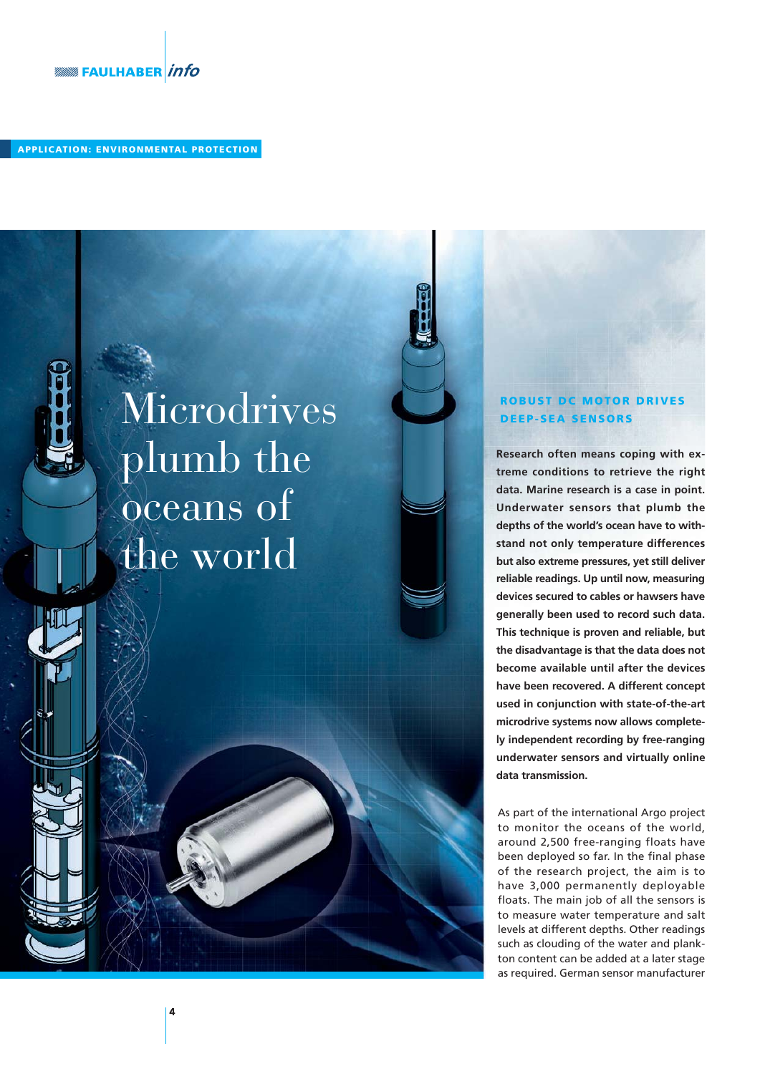

**APPLICATION: ENVIRONMENTAL PROTECTION**





## **ROBUST DC MOTOR DRIVES**

**Research often means coping with extreme conditions to retrieve the right data. Marine research is a case in point. Underwater sensors that plumb the depths of the world's ocean have to withstand not only temperature differences but also extreme pressures, yet still deliver reliable readings. Up until now, measuring devices secured to cables or hawsers have generally been used to record such data. This technique is proven and reliable, but the disadvantage is that the data does not become available until after the devices have been recovered. A different concept used in conjunction with state-of-the-art microdrive systems now allows completely independent recording by free-ranging underwater sensors and virtually online data transmission.**

As part of the international Argo project to monitor the oceans of the world, around 2,500 free-ranging floats have been deployed so far. In the final phase of the research project, the aim is to have 3,000 permanently deployable floats. The main job of all the sensors is to measure water temperature and salt levels at different depths. Other readings such as clouding of the water and plankton content can be added at a later stage as required. German sensor manufacturer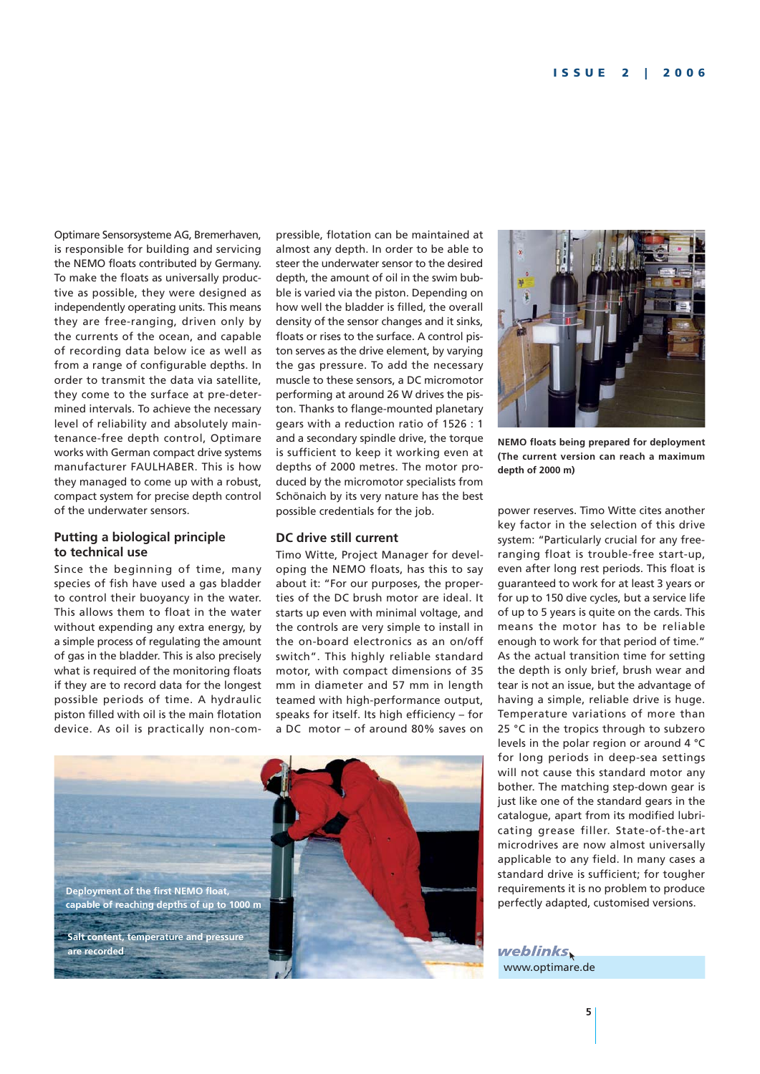Optimare Sensorsysteme AG, Bremerhaven, is responsible for building and servicing the NEMO floats contributed by Germany. To make the floats as universally productive as possible, they were designed as independently operating units. This means they are free-ranging, driven only by the currents of the ocean, and capable of recording data below ice as well as from a range of configurable depths. In order to transmit the data via satellite, they come to the surface at pre-determined intervals. To achieve the necessary level of reliability and absolutely maintenance-free depth control, Optimare works with German compact drive systems manufacturer FAULHABER. This is how they managed to come up with a robust, compact system for precise depth control of the underwater sensors.

#### **Putting a biological principle to technical use**

Since the beginning of time, many species of fish have used a gas bladder to control their buoyancy in the water. This allows them to float in the water without expending any extra energy, by a simple process of regulating the amount of gas in the bladder. This is also precisely what is required of the monitoring floats if they are to record data for the longest possible periods of time. A hydraulic piston filled with oil is the main flotation device. As oil is practically non-compressible, flotation can be maintained at almost any depth. In order to be able to steer the underwater sensor to the desired depth, the amount of oil in the swim bubble is varied via the piston. Depending on how well the bladder is filled, the overall density of the sensor changes and it sinks, floats or rises to the surface. A control piston serves as the drive element, by varying the gas pressure. To add the necessary muscle to these sensors, a DC micromotor performing at around 26 W drives the piston. Thanks to flange-mounted planetary gears with a reduction ratio of 1526 : 1 and a secondary spindle drive, the torque is sufficient to keep it working even at depths of 2000 metres. The motor produced by the micromotor specialists from Schönaich by its very nature has the best possible credentials for the job.

#### **DC drive still current**

Timo Witte, Project Manager for developing the NEMO floats, has this to say about it: "For our purposes, the properties of the DC brush motor are ideal. It starts up even with minimal voltage, and the controls are very simple to install in the on-board electronics as an on/off switch". This highly reliable standard motor, with compact dimensions of 35 mm in diameter and 57 mm in length teamed with high-performance output, speaks for itself. Its high efficiency – for a DC motor – of around 80% saves on





**NEMO floats being prepared for deployment (The current version can reach a maximum depth of 2000 m)**

power reserves. Timo Witte cites another key factor in the selection of this drive system: "Particularly crucial for any freeranging float is trouble-free start-up, even after long rest periods. This float is guaranteed to work for at least 3 years or for up to 150 dive cycles, but a service life of up to 5 years is quite on the cards. This means the motor has to be reliable enough to work for that period of time." As the actual transition time for setting the depth is only brief, brush wear and tear is not an issue, but the advantage of having a simple, reliable drive is huge. Temperature variations of more than 25 °C in the tropics through to subzero levels in the polar region or around 4 °C for long periods in deep-sea settings will not cause this standard motor any bother. The matching step-down gear is just like one of the standard gears in the catalogue, apart from its modified lubricating grease filler. State-of-the-art microdrives are now almost universally applicable to any field. In many cases a standard drive is sufficient; for tougher requirements it is no problem to produce perfectly adapted, customised versions.

weblinks. www.optimare.de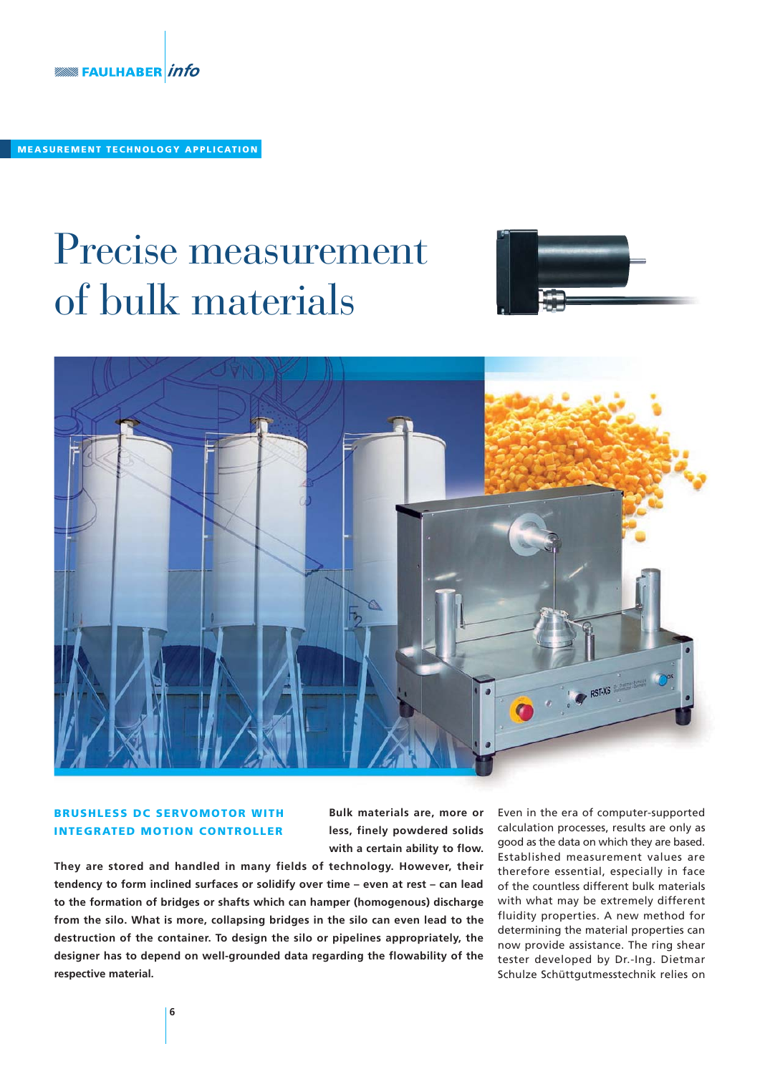

**AUTOMATION MEASUREMENT TECHNOLOGY APPLICATION**

## Precise measurement of bulk materials





### **BRUSHLESS DC SERVOMOTOR WITH**

**Bulk materials are, more or less, finely powdered solids with a certain ability to flow.** 

**They are stored and handled in many fields of technology. However, their tendency to form inclined surfaces or solidify over time – even at rest – can lead to the formation of bridges or shafts which can hamper (homogenous) discharge from the silo. What is more, collapsing bridges in the silo can even lead to the destruction of the container. To design the silo or pipelines appropriately, the designer has to depend on well-grounded data regarding the flowability of the respective material.**

Even in the era of computer-supported calculation processes, results are only as good as the data on which they are based. Established measurement values are therefore essential, especially in face of the countless different bulk materials with what may be extremely different fluidity properties. A new method for determining the material properties can now provide assistance. The ring shear tester developed by Dr.-Ing. Dietmar Schulze Schüttgutmesstechnik relies on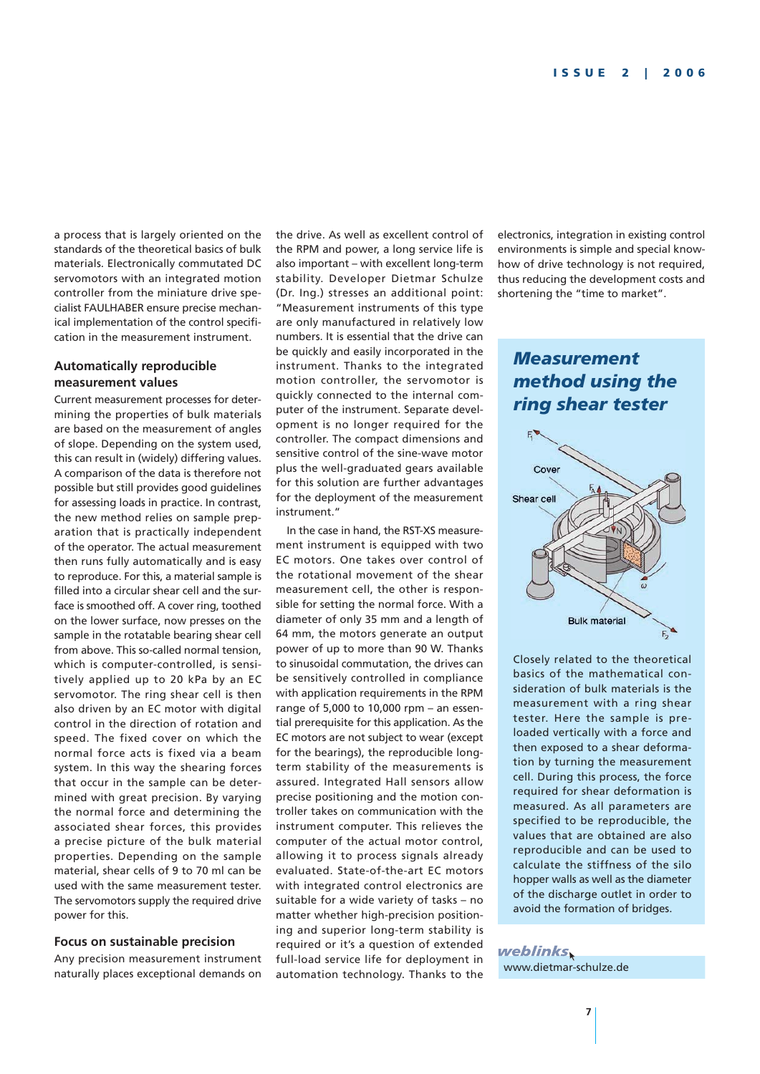a process that is largely oriented on the standards of the theoretical basics of bulk materials. Electronically commutated DC servomotors with an integrated motion controller from the miniature drive specialist FAULHABER ensure precise mechanical implementation of the control specification in the measurement instrument.

### **Automatically reproducible measurement values**

Current measurement processes for determining the properties of bulk materials are based on the measurement of angles of slope. Depending on the system used, this can result in (widely) differing values. A comparison of the data is therefore not possible but still provides good guidelines for assessing loads in practice. In contrast, the new method relies on sample preparation that is practically independent of the operator. The actual measurement then runs fully automatically and is easy to reproduce. For this, a material sample is filled into a circular shear cell and the surface is smoothed off. A cover ring, toothed on the lower surface, now presses on the sample in the rotatable bearing shear cell from above. This so-called normal tension, which is computer-controlled, is sensitively applied up to 20 kPa by an EC servomotor. The ring shear cell is then also driven by an EC motor with digital control in the direction of rotation and speed. The fixed cover on which the normal force acts is fixed via a beam system. In this way the shearing forces that occur in the sample can be determined with great precision. By varying the normal force and determining the associated shear forces, this provides a precise picture of the bulk material properties. Depending on the sample material, shear cells of 9 to 70 ml can be used with the same measurement tester. The servomotors supply the required drive power for this.

#### **Focus on sustainable precision**

Any precision measurement instrument naturally places exceptional demands on

the drive. As well as excellent control of the RPM and power, a long service life is also important – with excellent long-term stability. Developer Dietmar Schulze (Dr. Ing.) stresses an additional point: "Measurement instruments of this type are only manufactured in relatively low numbers. It is essential that the drive can be quickly and easily incorporated in the instrument. Thanks to the integrated motion controller, the servomotor is quickly connected to the internal computer of the instrument. Separate development is no longer required for the controller. The compact dimensions and sensitive control of the sine-wave motor plus the well-graduated gears available for this solution are further advantages for the deployment of the measurement instrument."

In the case in hand, the RST-XS measurement instrument is equipped with two EC motors. One takes over control of the rotational movement of the shear measurement cell, the other is responsible for setting the normal force. With a diameter of only 35 mm and a length of 64 mm, the motors generate an output power of up to more than 90 W. Thanks to sinusoidal commutation, the drives can be sensitively controlled in compliance with application requirements in the RPM range of 5,000 to 10,000 rpm – an essential prerequisite for this application. As the EC motors are not subject to wear (except for the bearings), the reproducible longterm stability of the measurements is assured. Integrated Hall sensors allow precise positioning and the motion controller takes on communication with the instrument computer. This relieves the computer of the actual motor control, allowing it to process signals already evaluated. State-of-the-art EC motors with integrated control electronics are suitable for a wide variety of tasks – no matter whether high-precision positioning and superior long-term stability is required or it's a question of extended full-load service life for deployment in automation technology. Thanks to the www.dietmar-schulze.de

electronics, integration in existing control environments is simple and special knowhow of drive technology is not required, thus reducing the development costs and shortening the "time to market".

### *Measurement method using the ring shear tester*



Closely related to the theoretical basics of the mathematical consideration of bulk materials is the measurement with a ring shear tester. Here the sample is preloaded vertically with a force and then exposed to a shear deformation by turning the measurement cell. During this process, the force required for shear deformation is measured. As all parameters are specified to be reproducible, the values that are obtained are also reproducible and can be used to calculate the stiffness of the silo hopper walls as well as the diameter of the discharge outlet in order to avoid the formation of bridges.

### weblinks.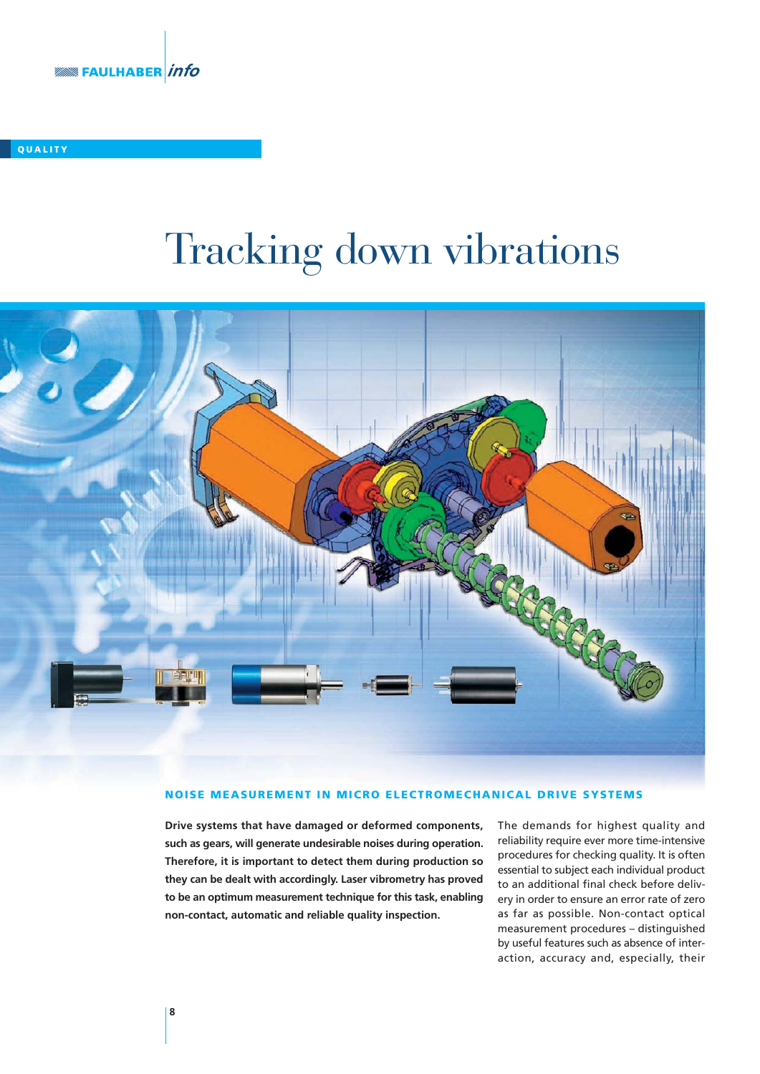

## Tracking down vibrations



#### **NOISE MEASUREMENT IN MICRO ELECTROMECHANICAL DRIVE SYSTEMS**

**Drive systems that have damaged or deformed components, such as gears, will generate undesirable noises during operation. Therefore, it is important to detect them during production so they can be dealt with accordingly. Laser vibrometry has proved to be an optimum measurement technique for this task, enabling non-contact, automatic and reliable quality inspection.**

The demands for highest quality and reliability require ever more time-intensive procedures for checking quality. It is often essential to subject each individual product to an additional final check before delivery in order to ensure an error rate of zero as far as possible. Non-contact optical measurement procedures – distinguished by useful features such as absence of interaction, accuracy and, especially, their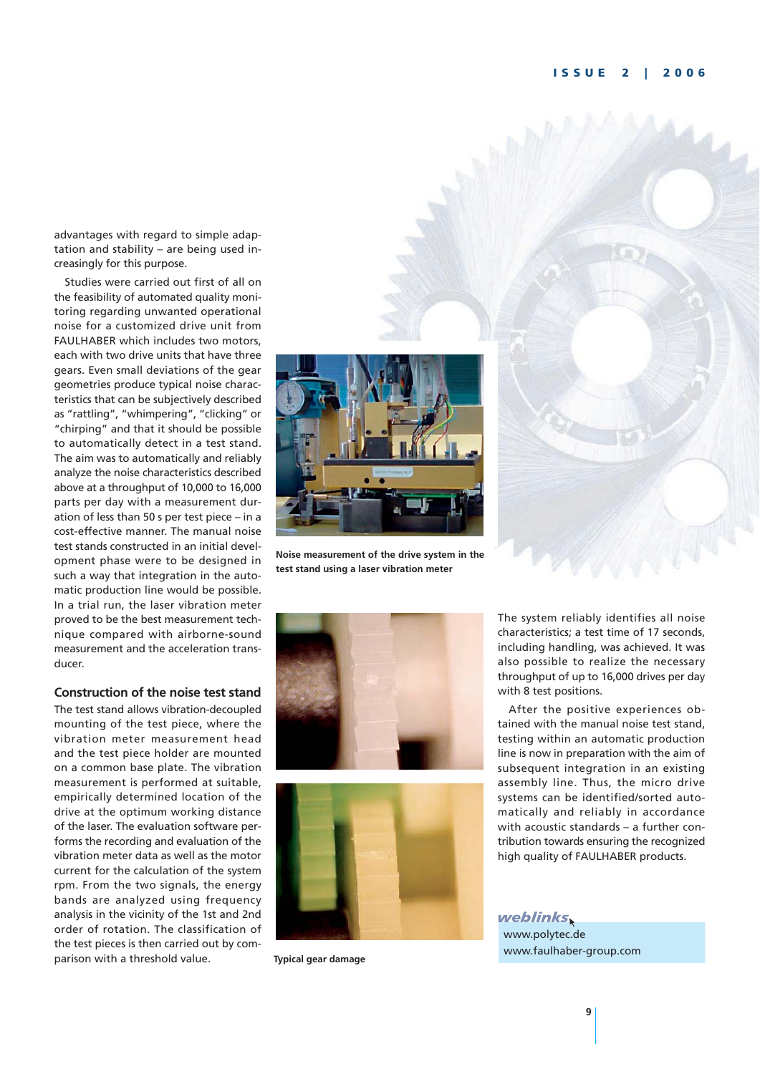advantages with regard to simple adaptation and stability – are being used increasingly for this purpose.

Studies were carried out first of all on the feasibility of automated quality monitoring regarding unwanted operational noise for a customized drive unit from FAULHABER which includes two motors, each with two drive units that have three gears. Even small deviations of the gear geometries produce typical noise characteristics that can be subjectively described as "rattling", "whimpering", "clicking" or "chirping" and that it should be possible to automatically detect in a test stand. The aim was to automatically and reliably analyze the noise characteristics described above at a throughput of 10,000 to 16,000 parts per day with a measurement duration of less than 50 s per test piece – in a cost-effective manner. The manual noise test stands constructed in an initial development phase were to be designed in such a way that integration in the automatic production line would be possible. In a trial run, the laser vibration meter proved to be the best measurement technique compared with airborne-sound measurement and the acceleration transducer.

#### **Construction of the noise test stand**

The test stand allows vibration-decoupled mounting of the test piece, where the vibration meter measurement head and the test piece holder are mounted on a common base plate. The vibration measurement is performed at suitable, empirically determined location of the drive at the optimum working distance of the laser. The evaluation software performs the recording and evaluation of the vibration meter data as well as the motor current for the calculation of the system rpm. From the two signals, the energy bands are analyzed using frequency analysis in the vicinity of the 1st and 2nd order of rotation. The classification of the test pieces is then carried out by comparison with a threshold value.



**Noise measurement of the drive system in the test stand using a laser vibration meter**





**Typical gear damage**

The system reliably identifies all noise characteristics; a test time of 17 seconds, including handling, was achieved. It was also possible to realize the necessary throughput of up to 16,000 drives per day with 8 test positions.

After the positive experiences obtained with the manual noise test stand, testing within an automatic production line is now in preparation with the aim of subsequent integration in an existing assembly line. Thus, the micro drive systems can be identified/sorted automatically and reliably in accordance with acoustic standards – a further contribution towards ensuring the recognized high quality of FAULHABER products.

weblinks. www.polytec.de www.faulhaber-group.com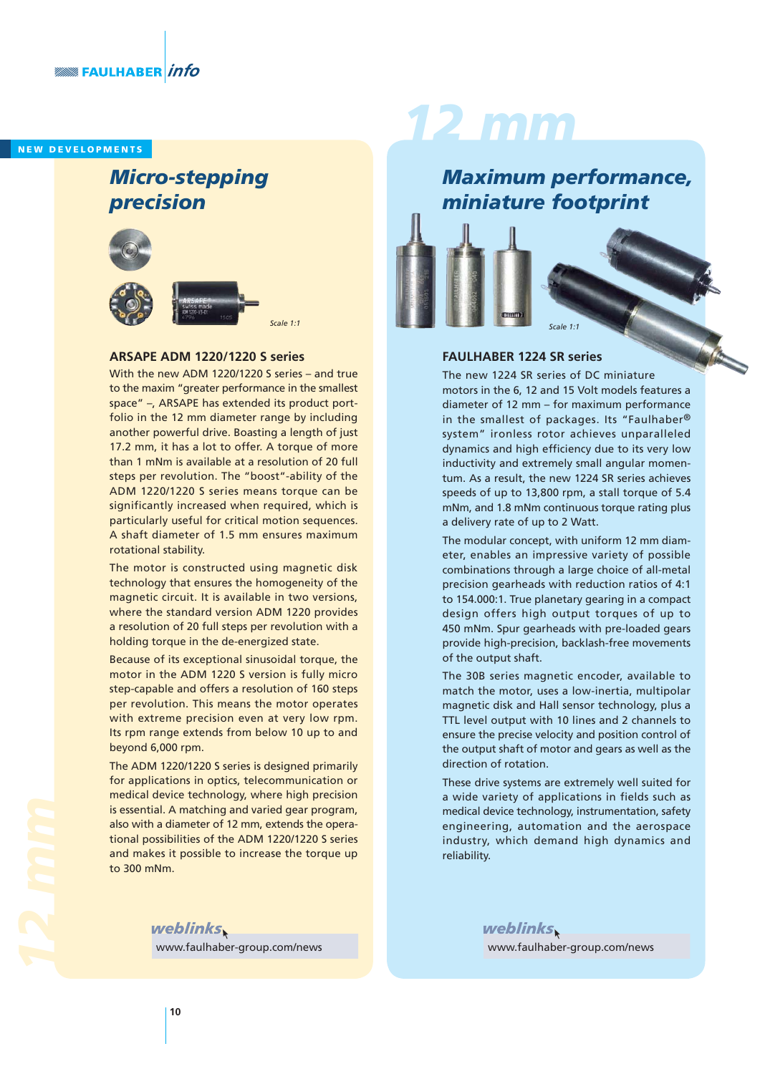#### **NEW DEVELOPMENTS**

### *Micro-stepping precision*





### **ARSAPE ADM 1220/1220 S series**

With the new ADM 1220/1220 S series – and true to the maxim "greater performance in the smallest space" –, ARSAPE has extended its product portfolio in the 12 mm diameter range by including another powerful drive. Boasting a length of just 17.2 mm, it has a lot to offer. A torque of more than 1 mNm is available at a resolution of 20 full steps per revolution. The "boost"-ability of the ADM 1220/1220 S series means torque can be significantly increased when required, which is particularly useful for critical motion sequences. A shaft diameter of 1.5 mm ensures maximum rotational stability.

The motor is constructed using magnetic disk technology that ensures the homogeneity of the magnetic circuit. It is available in two versions, where the standard version ADM 1220 provides a resolution of 20 full steps per revolution with a holding torque in the de-energized state.

Because of its exceptional sinusoidal torque, the motor in the ADM 1220 S version is fully micro step-capable and offers a resolution of 160 steps per revolution. This means the motor operates with extreme precision even at very low rpm. Its rpm range extends from below 10 up to and beyond 6,000 rpm.

The ADM 1220/1220 S series is designed primarily for applications in optics, telecommunication or medical device technology, where high precision is essential. A matching and varied gear program, also with a diameter of 12 mm, extends the operational possibilities of the ADM 1220/1220 S series and makes it possible to increase the torque up to 300 mNm.

# *12 mm*

*Maximum performance, miniature footprint*





#### **FAULHABER 1224 SR series**

The new 1224 SR series of DC miniature motors in the 6, 12 and 15 Volt models features a diameter of 12 mm – for maximum performance in the smallest of packages. Its "Faulhaber® system" ironless rotor achieves unparalleled dynamics and high efficiency due to its very low inductivity and extremely small angular momentum. As a result, the new 1224 SR series achieves speeds of up to 13,800 rpm, a stall torque of 5.4 mNm, and 1.8 mNm continuous torque rating plus a delivery rate of up to 2 Watt.

The modular concept, with uniform 12 mm diameter, enables an impressive variety of possible combinations through a large choice of all-metal precision gearheads with reduction ratios of 4:1 to 154.000:1. True planetary gearing in a compact design offers high output torques of up to 450 mNm. Spur gearheads with pre-loaded gears provide high-precision, backlash-free movements of the output shaft.

The 30B series magnetic encoder, available to match the motor, uses a low-inertia, multipolar magnetic disk and Hall sensor technology, plus a TTL level output with 10 lines and 2 channels to ensure the precise velocity and position control of the output shaft of motor and gears as well as the direction of rotation.

These drive systems are extremely well suited for a wide variety of applications in fields such as medical device technology, instrumentation, safety engineering, automation and the aerospace industry, which demand high dynamics and reliability.

**weblinks** 

weblinks. www.faulhaber-group.com/news www.faulhaber-group.com/news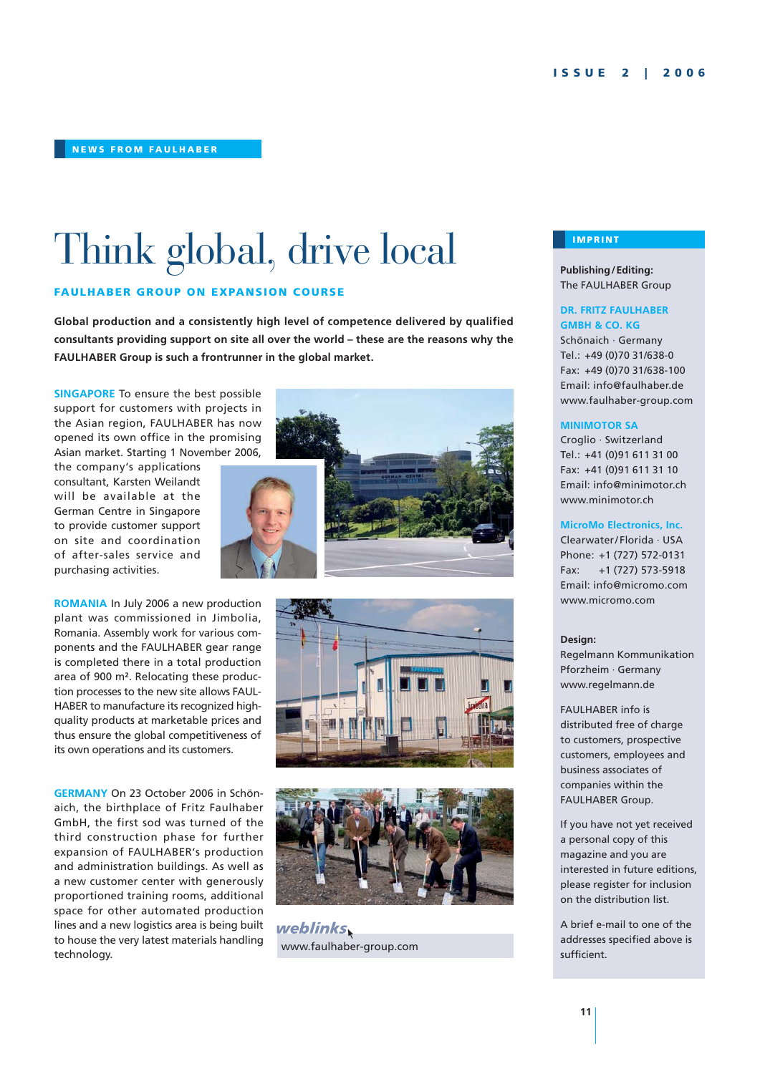## Think global, drive local

#### **FAULHABER GROUP ON EXPANSION COURSE**

**Global production and a consistently high level of competence delivered by qualified consultants providing support on site all over the world – these are the reasons why the FAULHABER Group is such a frontrunner in the global market.**

**SINGAPORE** To ensure the best possible support for customers with projects in the Asian region, FAULHABER has now opened its own office in the promising Asian market. Starting 1 November 2006,

the company's applications consultant, Karsten Weilandt will be available at the German Centre in Singapore to provide customer support on site and coordination of after-sales service and purchasing activities.

**ROMANIA** In July 2006 a new production plant was commissioned in Jimbolia, Romania. Assembly work for various components and the FAULHABER gear range is completed there in a total production area of 900 m². Relocating these production processes to the new site allows FAUL-HABER to manufacture its recognized highquality products at marketable prices and thus ensure the global competitiveness of its own operations and its customers.

**GERMANY** On 23 October 2006 in Schönaich, the birthplace of Fritz Faulhaber GmbH, the first sod was turned of the third construction phase for further expansion of FAULHABER's production and administration buildings. As well as a new customer center with generously proportioned training rooms, additional space for other automated production lines and a new logistics area is being built to house the very latest materials handling technology.







weblinks. www.faulhaber-group.com

#### **IMPRINT**

#### **Publishing/Editing:** The FAULHABER Group

#### **DR. FRITZ FAULHABER GMBH & CO. KG**

Schönaich · Germany Tel.: +49 (0)70 31/638-0 Fax: +49 (0)70 31/638-100 Email: info@faulhaber.de www.faulhaber-group.com

#### **MINIMOTOR SA**

Croglio · Switzerland Tel.: +41 (0)91 611 31 00 Fax: +41 (0)91 611 31 10 Email: info@minimotor.ch www.minimotor.ch

#### **MicroMo Electronics, Inc.**

Clearwater/ Florida · USA Phone: +1 (727) 572-0131 Fax: +1 (727) 573-5918 Email: info@micromo.com www.micromo.com

#### **Design:**

Regelmann Kommunikation Pforzheim · Germany www.regelmann.de

#### FAULHABER info is

distributed free of charge to customers, prospective customers, employees and business associates of companies within the FAULHABER Group.

If you have not yet received a personal copy of this magazine and you are interested in future editions, please register for inclusion on the distribution list.

A brief e-mail to one of the addresses specified above is sufficient.